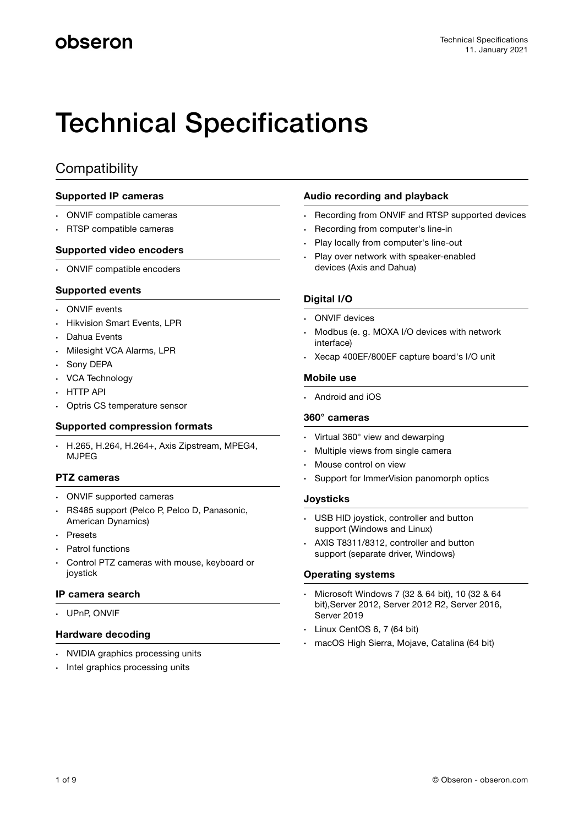# Technical Specifications

### **Compatibility**

### **Supported IP cameras**

- ONVIF compatible cameras
- RTSP compatible cameras

### **Supported video encoders**

• ONVIF compatible encoders

### **Supported events**

- ONVIF events
- Hikvision Smart Events, LPR
- Dahua Events
- Milesight VCA Alarms, LPR
- Sony DEPA
- VCA Technology
- HTTP API
- Optris CS temperature sensor

### **Supported compression formats**

• H.265, H.264, H.264+, Axis Zipstream, MPEG4, MJPEG

### **PTZ cameras**

- ONVIF supported cameras
- RS485 support (Pelco P, Pelco D, Panasonic, American Dynamics)
- Presets
- Patrol functions
- Control PTZ cameras with mouse, keyboard or joystick

### **IP camera search**

• UPnP, ONVIF

### **Hardware decoding**

- NVIDIA graphics processing units
- Intel graphics processing units

### **Audio recording and playback**

- Recording from ONVIF and RTSP supported devices
- Recording from computer's line-in
- Play locally from computer's line-out
- Play over network with speaker-enabled devices (Axis and Dahua)

### **Digital I/O**

- **ONVIF** devices
- Modbus (e. g. MOXA I/O devices with network interface)
- Xecap 400EF/800EF capture board's I/O unit

#### **Mobile use**

• Android and iOS

### **360° cameras**

- Virtual 360° view and dewarping
- Multiple views from single camera
- Mouse control on view
- Support for ImmerVision panomorph optics

### **Joysticks**

- USB HID joystick, controller and button support (Windows and Linux)
- AXIS T8311/8312, controller and button support (separate driver, Windows)

### **Operating systems**

- Microsoft Windows 7 (32 & 64 bit), 10 (32 & 64 bit),Server 2012, Server 2012 R2, Server 2016, Server 2019
- Linux CentOS 6, 7 (64 bit)
- macOS High Sierra, Mojave, Catalina (64 bit)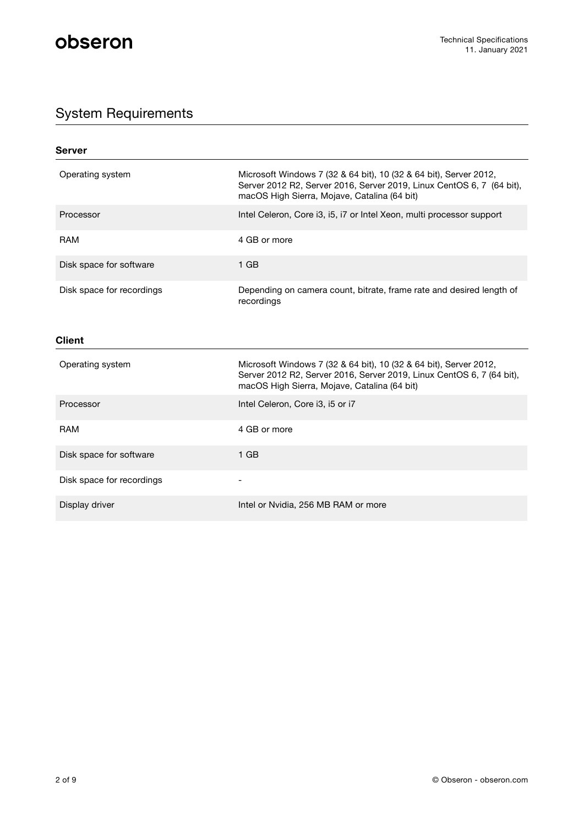## System Requirements

| Server                    |                                                                                                                                                                                            |
|---------------------------|--------------------------------------------------------------------------------------------------------------------------------------------------------------------------------------------|
| Operating system          | Microsoft Windows 7 (32 & 64 bit), 10 (32 & 64 bit), Server 2012,<br>Server 2012 R2, Server 2016, Server 2019, Linux CentOS 6, 7 (64 bit),<br>macOS High Sierra, Mojave, Catalina (64 bit) |
| Processor                 | Intel Celeron, Core i3, i5, i7 or Intel Xeon, multi processor support                                                                                                                      |
| <b>RAM</b>                | 4 GB or more                                                                                                                                                                               |
| Disk space for software   | $1$ GB                                                                                                                                                                                     |
| Disk space for recordings | Depending on camera count, bitrate, frame rate and desired length of<br>recordings                                                                                                         |
| <b>Client</b>             |                                                                                                                                                                                            |
| Operating system          | Microsoft Windows 7 (32 & 64 bit), 10 (32 & 64 bit), Server 2012,<br>Server 2012 R2, Server 2016, Server 2019, Linux CentOS 6, 7 (64 bit),<br>macOS High Sierra, Mojave, Catalina (64 bit) |
| Processor                 | Intel Celeron, Core i3, i5 or i7                                                                                                                                                           |
| <b>RAM</b>                | 4 GB or more                                                                                                                                                                               |
| Disk space for software   | $1$ GB                                                                                                                                                                                     |
| Disk space for recordings |                                                                                                                                                                                            |
| Display driver            | Intel or Nvidia, 256 MB RAM or more                                                                                                                                                        |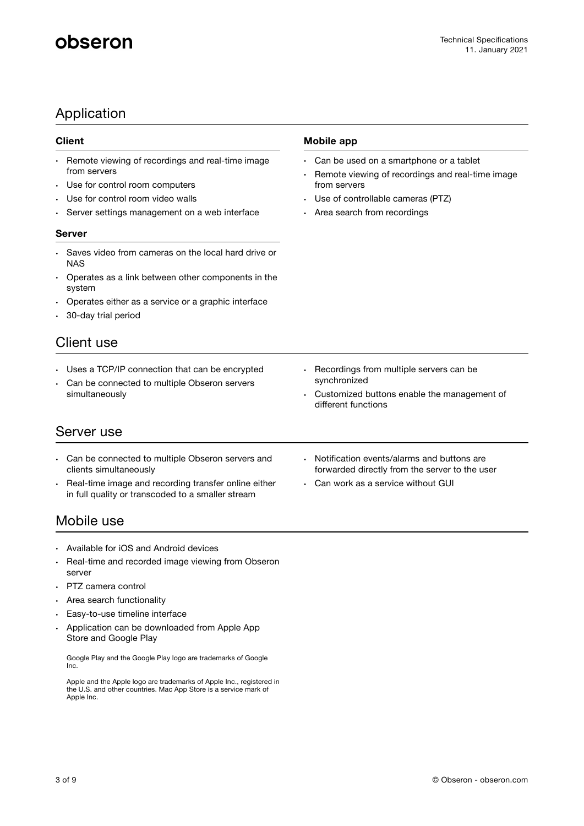## Application

### **Client**

- Remote viewing of recordings and real-time image from servers
- Use for control room computers
- Use for control room video walls
- Server settings management on a web interface

### **Server**

- Saves video from cameras on the local hard drive or NAS
- Operates as a link between other components in the system
- Operates either as a service or a graphic interface
- 30-day trial period

### Client use

- Uses a TCP/IP connection that can be encrypted
- Can be connected to multiple Obseron servers simultaneously

### Server use

- Can be connected to multiple Obseron servers and clients simultaneously
- Real-time image and recording transfer online either in full quality or transcoded to a smaller stream

## Mobile use

- Available for iOS and Android devices
- Real-time and recorded image viewing from Obseron server
- PTZ camera control
- Area search functionality
- Easy-to-use timeline interface
- Application can be downloaded from Apple App Store and Google Play

Google Play and the Google Play logo are trademarks of Google Inc.

Apple and the Apple logo are trademarks of Apple Inc., registered in the U.S. and other countries. Mac App Store is a service mark of Apple Inc.

### **Mobile app**

- Can be used on a smartphone or a tablet
- Remote viewing of recordings and real-time image from servers
- Use of controllable cameras (PTZ)
- Area search from recordings

- Recordings from multiple servers can be synchronized
- Customized buttons enable the management of different functions
- Notification events/alarms and buttons are forwarded directly from the server to the user
- Can work as a service without GUI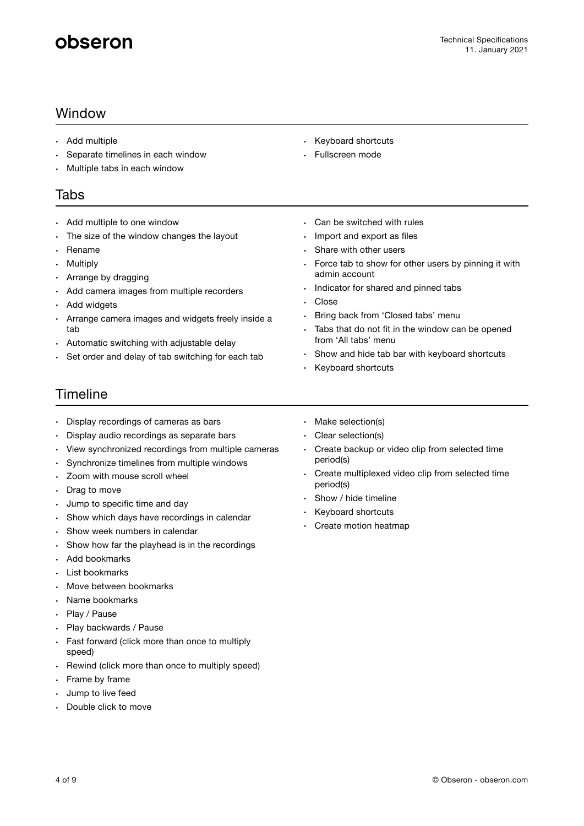## Window

- Add multiple
- Separate timelines in each window
- Multiple tabs in each window

### Tabs

- Add multiple to one window
- The size of the window changes the layout
- Rename
- **Multiply**
- Arrange by dragging
- Add camera images from multiple recorders
- Add widgets
- Arrange camera images and widgets freely inside a tab
- Automatic switching with adjustable delay
- Set order and delay of tab switching for each tab
- Keyboard shortcuts
- Fullscreen mode
- Can be switched with rules
- Import and export as files
- Share with other users
- Force tab to show for other users by pinning it with admin account
- Indicator for shared and pinned tabs
- Close
- Bring back from 'Closed tabs' menu
- Tabs that do not fit in the window can be opened from 'All tabs' menu
- Show and hide tab bar with keyboard shortcuts
- Keyboard shortcuts

## Timeline

- Display recordings of cameras as bars
- Display audio recordings as separate bars
- View synchronized recordings from multiple cameras
- Synchronize timelines from multiple windows
- Zoom with mouse scroll wheel
- Drag to move
- Jump to specific time and day
- Show which days have recordings in calendar
- Show week numbers in calendar
- Show how far the playhead is in the recordings
- Add bookmarks
- List bookmarks
- Move between bookmarks
- Name bookmarks
- Play / Pause
- Play backwards / Pause
- Fast forward (click more than once to multiply speed)
- Rewind (click more than once to multiply speed)
- Frame by frame
- Jump to live feed
- Double click to move
- Make selection(s)
- Clear selection(s)
- Create backup or video clip from selected time period(s)
- Create multiplexed video clip from selected time period(s)
- Show / hide timeline
- Keyboard shortcuts
- Create motion heatmap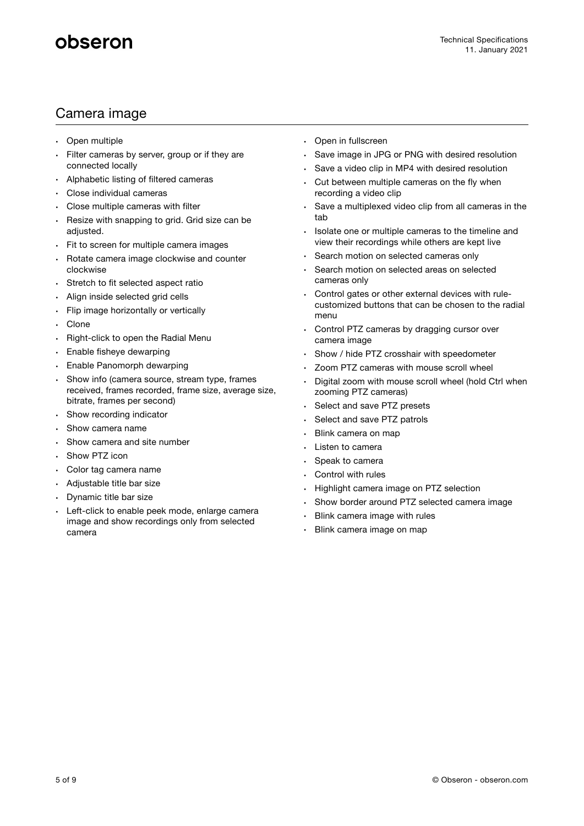## Camera image

- Open multiple
- Filter cameras by server, group or if they are connected locally
- Alphabetic listing of filtered cameras
- Close individual cameras
- Close multiple cameras with filter
- Resize with snapping to grid. Grid size can be adjusted.
- Fit to screen for multiple camera images
- Rotate camera image clockwise and counter clockwise
- Stretch to fit selected aspect ratio
- Align inside selected grid cells
- Flip image horizontally or vertically
- **Clone**
- Right-click to open the Radial Menu
- Enable fisheye dewarping
- Enable Panomorph dewarping
- Show info (camera source, stream type, frames received, frames recorded, frame size, average size, bitrate, frames per second)
- Show recording indicator
- Show camera name
- Show camera and site number
- Show PTZ icon
- Color tag camera name
- Adjustable title bar size
- Dynamic title bar size
- Left-click to enable peek mode, enlarge camera image and show recordings only from selected camera
- Open in fullscreen
- Save image in JPG or PNG with desired resolution
- Save a video clip in MP4 with desired resolution
- Cut between multiple cameras on the fly when recording a video clip
- Save a multiplexed video clip from all cameras in the tab
- Isolate one or multiple cameras to the timeline and view their recordings while others are kept live
- Search motion on selected cameras only
- Search motion on selected areas on selected cameras only
- Control gates or other external devices with rulecustomized buttons that can be chosen to the radial menu
- Control PTZ cameras by dragging cursor over camera image
- Show / hide PTZ crosshair with speedometer
- Zoom PTZ cameras with mouse scroll wheel
- Digital zoom with mouse scroll wheel (hold Ctrl when zooming PTZ cameras)
- Select and save PTZ presets
- Select and save PTZ patrols
- Blink camera on map
- Listen to camera
- Speak to camera
- Control with rules
- Highlight camera image on PTZ selection
- Show border around PTZ selected camera image
- Blink camera image with rules
- Blink camera image on map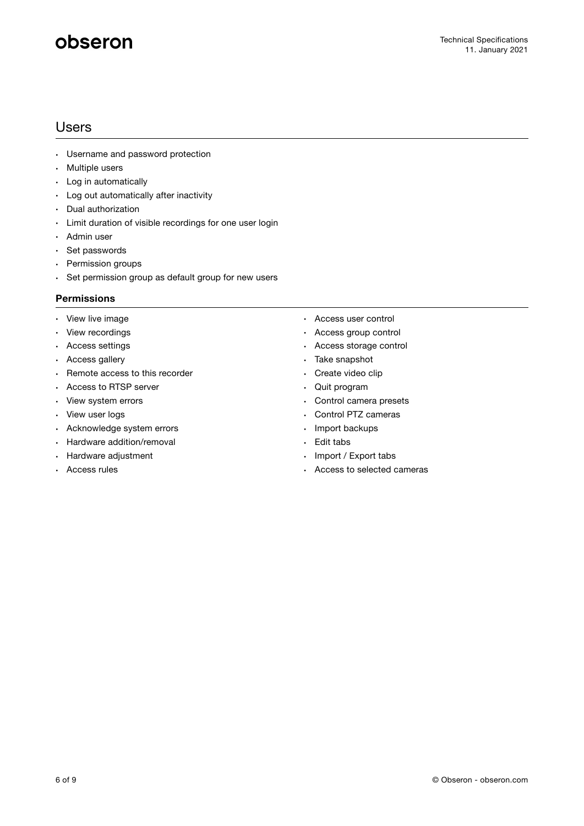### Users

- Username and password protection
- Multiple users
- Log in automatically
- Log out automatically after inactivity
- Dual authorization
- Limit duration of visible recordings for one user login
- Admin user
- Set passwords
- Permission groups
- Set permission group as default group for new users

### **Permissions**

- View live image
- View recordings
- Access settings
- Access gallery
- Remote access to this recorder
- Access to RTSP server
- View system errors
- View user logs
- Acknowledge system errors
- Hardware addition/removal
- Hardware adjustment
- Access rules
- Access user control
- Access group control
- Access storage control
- Take snapshot
- Create video clip
- Quit program
- Control camera presets
- Control PTZ cameras
- Import backups
- Edit tabs
- Import / Export tabs
- Access to selected cameras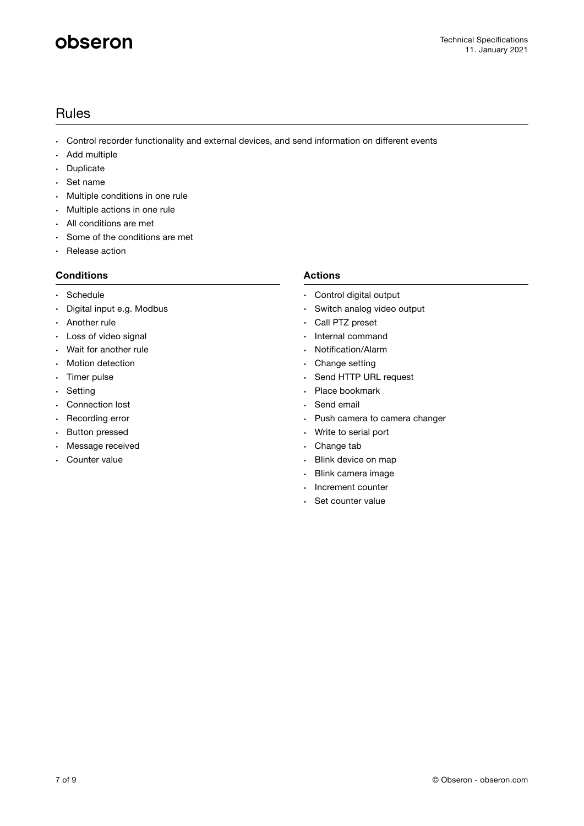## Rules

- Control recorder functionality and external devices, and send information on different events
- Add multiple
- Duplicate
- Set name
- Multiple conditions in one rule
- Multiple actions in one rule
- All conditions are met
- Some of the conditions are met
- Release action

### **Conditions**

- Schedule
- Digital input e.g. Modbus
- Another rule
- Loss of video signal
- Wait for another rule
- Motion detection
- Timer pulse
- Setting
- Connection lost
- Recording error
- Button pressed
- Message received
- Counter value

### **Actions**

- Control digital output
- Switch analog video output
- Call PTZ preset
- Internal command
- Notification/Alarm
- Change setting
- Send HTTP URL request
- Place bookmark
- Send email
- Push camera to camera changer
- Write to serial port
- Change tab
- Blink device on map
- Blink camera image
- Increment counter
- Set counter value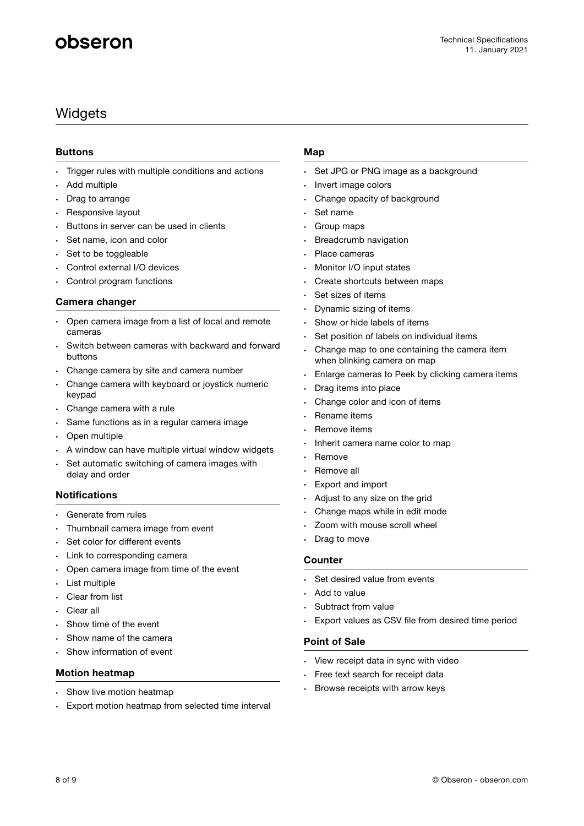## **Widgets**

### **Buttons**

- Trigger rules with multiple conditions and actions
- Add multiple
- Drag to arrange
- Responsive layout
- Buttons in server can be used in clients
- Set name, icon and color
- Set to be toggleable
- Control external I/O devices
- Control program functions

### **Camera changer**

- Open camera image from a list of local and remote cameras
- Switch between cameras with backward and forward buttons
- Change camera by site and camera number
- Change camera with keyboard or joystick numeric keypad
- Change camera with a rule
- Same functions as in a regular camera image
- Open multiple
- A window can have multiple virtual window widgets
- Set automatic switching of camera images with delay and order

### **Notifications**

- Generate from rules
- Thumbnail camera image from event
- Set color for different events
- Link to corresponding camera
- Open camera image from time of the event
- List multiple
- Clear from list
- Clear all
- Show time of the event
- Show name of the camera
- Show information of event

### **Motion heatmap**

- Show live motion heatmap
- Export motion heatmap from selected time interval

### **Map**

- Set JPG or PNG image as a background
- Invert image colors
- Change opacity of background
- Set name
- Group maps
- Breadcrumb navigation
- Place cameras
- Monitor I/O input states
- Create shortcuts between maps
- Set sizes of items
- Dynamic sizing of items
- Show or hide labels of items
- Set position of labels on individual items
- Change map to one containing the camera item when blinking camera on map
- Enlarge cameras to Peek by clicking camera items
- Drag items into place
- Change color and icon of items
- Rename items
- Remove items
- Inherit camera name color to map
- **Remove**
- Remove all
- Export and import
- Adjust to any size on the grid
- Change maps while in edit mode
- Zoom with mouse scroll wheel
- Drag to move

### **Counter**

- Set desired value from events
- Add to value
- Subtract from value
- Export values as CSV file from desired time period

### **Point of Sale**

- View receipt data in sync with video
- Free text search for receipt data
- Browse receipts with arrow keys